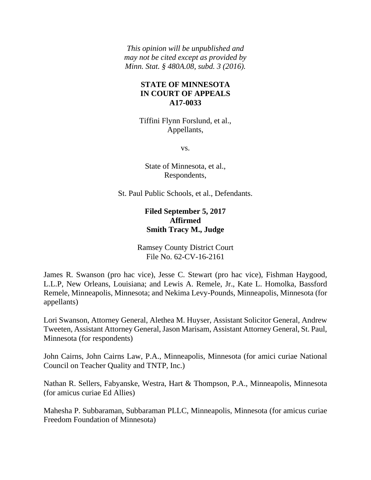*This opinion will be unpublished and may not be cited except as provided by Minn. Stat. § 480A.08, subd. 3 (2016).* 

### **STATE OF MINNESOTA IN COURT OF APPEALS A17-0033**

Tiffini Flynn Forslund, et al., Appellants,

vs.

State of Minnesota, et al., Respondents,

St. Paul Public Schools, et al., Defendants.

# **Filed September 5, 2017 Affirmed Smith Tracy M., Judge**

Ramsey County District Court File No. 62-CV-16-2161

James R. Swanson (pro hac vice), Jesse C. Stewart (pro hac vice), Fishman Haygood, L.L.P, New Orleans, Louisiana; and Lewis A. Remele, Jr., Kate L. Homolka, Bassford Remele, Minneapolis, Minnesota; and Nekima Levy-Pounds, Minneapolis, Minnesota (for appellants)

Lori Swanson, Attorney General, Alethea M. Huyser, Assistant Solicitor General, Andrew Tweeten, Assistant Attorney General, Jason Marisam, Assistant Attorney General, St. Paul, Minnesota (for respondents)

John Cairns, John Cairns Law, P.A., Minneapolis, Minnesota (for amici curiae National Council on Teacher Quality and TNTP, Inc.)

Nathan R. Sellers, Fabyanske, Westra, Hart & Thompson, P.A., Minneapolis, Minnesota (for amicus curiae Ed Allies)

Mahesha P. Subbaraman, Subbaraman PLLC, Minneapolis, Minnesota (for amicus curiae Freedom Foundation of Minnesota)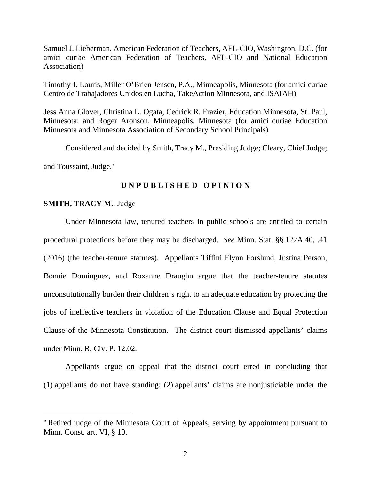Samuel J. Lieberman, American Federation of Teachers, AFL-CIO, Washington, D.C. (for amici curiae American Federation of Teachers, AFL-CIO and National Education Association)

Timothy J. Louris, Miller O'Brien Jensen, P.A., Minneapolis, Minnesota (for amici curiae Centro de Trabajadores Unidos en Lucha, TakeAction Minnesota, and ISAIAH)

Jess Anna Glover, Christina L. Ogata, Cedrick R. Frazier, Education Minnesota, St. Paul, Minnesota; and Roger Aronson, Minneapolis, Minnesota (for amici curiae Education Minnesota and Minnesota Association of Secondary School Principals)

 Considered and decided by Smith, Tracy M., Presiding Judge; Cleary, Chief Judge; and Toussaint, Judge.

## **U N P U B L I S H E D O P I N I O N**

### **SMITH, TRACY M.**, Judge

 $\overline{a}$ 

Under Minnesota law, tenured teachers in public schools are entitled to certain procedural protections before they may be discharged. *See* Minn. Stat. §§ 122A.40, .41 (2016) (the teacher-tenure statutes). Appellants Tiffini Flynn Forslund, Justina Person, Bonnie Dominguez, and Roxanne Draughn argue that the teacher-tenure statutes unconstitutionally burden their children's right to an adequate education by protecting the jobs of ineffective teachers in violation of the Education Clause and Equal Protection Clause of the Minnesota Constitution. The district court dismissed appellants' claims under Minn. R. Civ. P. 12.02.

 Appellants argue on appeal that the district court erred in concluding that (1) appellants do not have standing; (2) appellants' claims are nonjusticiable under the

Retired judge of the Minnesota Court of Appeals, serving by appointment pursuant to Minn. Const. art. VI, § 10.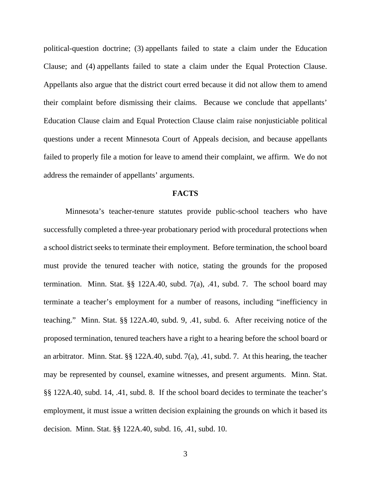political-question doctrine; (3) appellants failed to state a claim under the Education Clause; and (4) appellants failed to state a claim under the Equal Protection Clause. Appellants also argue that the district court erred because it did not allow them to amend their complaint before dismissing their claims. Because we conclude that appellants' Education Clause claim and Equal Protection Clause claim raise nonjusticiable political questions under a recent Minnesota Court of Appeals decision, and because appellants failed to properly file a motion for leave to amend their complaint, we affirm. We do not address the remainder of appellants' arguments.

#### **FACTS**

 Minnesota's teacher-tenure statutes provide public-school teachers who have successfully completed a three-year probationary period with procedural protections when a school district seeks to terminate their employment. Before termination, the school board must provide the tenured teacher with notice, stating the grounds for the proposed termination. Minn. Stat. §§ 122A.40, subd. 7(a), .41, subd. 7. The school board may terminate a teacher's employment for a number of reasons, including "inefficiency in teaching." Minn. Stat. §§ 122A.40, subd. 9, .41, subd. 6. After receiving notice of the proposed termination, tenured teachers have a right to a hearing before the school board or an arbitrator. Minn. Stat. §§ 122A.40, subd. 7(a), .41, subd. 7. At this hearing, the teacher may be represented by counsel, examine witnesses, and present arguments. Minn. Stat. §§ 122A.40, subd. 14, .41, subd. 8. If the school board decides to terminate the teacher's employment, it must issue a written decision explaining the grounds on which it based its decision. Minn. Stat. §§ 122A.40, subd. 16, .41, subd. 10.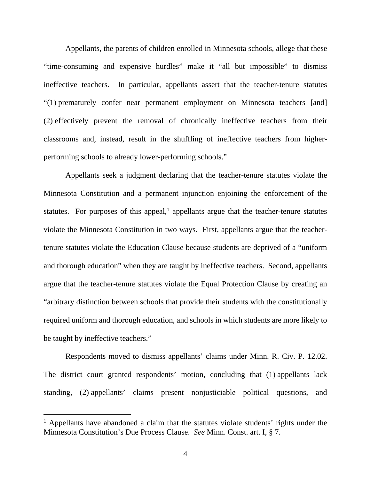Appellants, the parents of children enrolled in Minnesota schools, allege that these "time-consuming and expensive hurdles" make it "all but impossible" to dismiss ineffective teachers. In particular, appellants assert that the teacher-tenure statutes "(1) prematurely confer near permanent employment on Minnesota teachers [and] (2) effectively prevent the removal of chronically ineffective teachers from their classrooms and, instead, result in the shuffling of ineffective teachers from higherperforming schools to already lower-performing schools."

 Appellants seek a judgment declaring that the teacher-tenure statutes violate the Minnesota Constitution and a permanent injunction enjoining the enforcement of the statutes. For purposes of this appeal, $<sup>1</sup>$  appellants argue that the teacher-tenure statutes</sup> violate the Minnesota Constitution in two ways. First, appellants argue that the teachertenure statutes violate the Education Clause because students are deprived of a "uniform and thorough education" when they are taught by ineffective teachers. Second, appellants argue that the teacher-tenure statutes violate the Equal Protection Clause by creating an "arbitrary distinction between schools that provide their students with the constitutionally required uniform and thorough education, and schools in which students are more likely to be taught by ineffective teachers."

 Respondents moved to dismiss appellants' claims under Minn. R. Civ. P. 12.02. The district court granted respondents' motion, concluding that (1) appellants lack standing, (2) appellants' claims present nonjusticiable political questions, and

<sup>&</sup>lt;sup>1</sup> Appellants have abandoned a claim that the statutes violate students' rights under the Minnesota Constitution's Due Process Clause. *See* Minn. Const. art. I, § 7.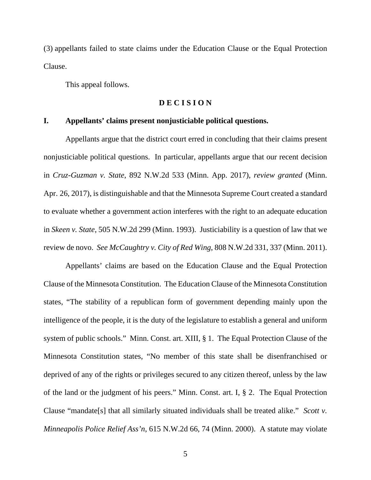(3) appellants failed to state claims under the Education Clause or the Equal Protection Clause.

This appeal follows.

#### **D E C I S I O N**

### **I. Appellants' claims present nonjusticiable political questions.**

Appellants argue that the district court erred in concluding that their claims present nonjusticiable political questions. In particular, appellants argue that our recent decision in *Cruz-Guzman v. State*, 892 N.W.2d 533 (Minn. App. 2017), *review granted* (Minn. Apr. 26, 2017), is distinguishable and that the Minnesota Supreme Court created a standard to evaluate whether a government action interferes with the right to an adequate education in *Skeen v. State*, 505 N.W.2d 299 (Minn. 1993). Justiciability is a question of law that we review de novo. *See McCaughtry v. City of Red Wing*, 808 N.W.2d 331, 337 (Minn. 2011).

Appellants' claims are based on the Education Clause and the Equal Protection Clause of the Minnesota Constitution. The Education Clause of the Minnesota Constitution states, "The stability of a republican form of government depending mainly upon the intelligence of the people, it is the duty of the legislature to establish a general and uniform system of public schools." Minn. Const. art. XIII, § 1. The Equal Protection Clause of the Minnesota Constitution states, "No member of this state shall be disenfranchised or deprived of any of the rights or privileges secured to any citizen thereof, unless by the law of the land or the judgment of his peers." Minn. Const. art. I, § 2. The Equal Protection Clause "mandate[s] that all similarly situated individuals shall be treated alike." *Scott v. Minneapolis Police Relief Ass'n*, 615 N.W.2d 66, 74 (Minn. 2000). A statute may violate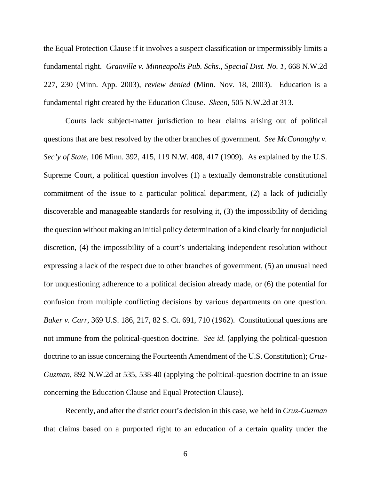the Equal Protection Clause if it involves a suspect classification or impermissibly limits a fundamental right. *Granville v. Minneapolis Pub. Schs., Special Dist. No. 1*, 668 N.W.2d 227, 230 (Minn. App. 2003), *review denied* (Minn. Nov. 18, 2003). Education is a fundamental right created by the Education Clause. *Skeen*, 505 N.W.2d at 313.

Courts lack subject-matter jurisdiction to hear claims arising out of political questions that are best resolved by the other branches of government. *See McConaughy v. Sec'y of State*, 106 Minn. 392, 415, 119 N.W. 408, 417 (1909). As explained by the U.S. Supreme Court, a political question involves (1) a textually demonstrable constitutional commitment of the issue to a particular political department, (2) a lack of judicially discoverable and manageable standards for resolving it, (3) the impossibility of deciding the question without making an initial policy determination of a kind clearly for nonjudicial discretion, (4) the impossibility of a court's undertaking independent resolution without expressing a lack of the respect due to other branches of government, (5) an unusual need for unquestioning adherence to a political decision already made, or (6) the potential for confusion from multiple conflicting decisions by various departments on one question. *Baker v. Carr*, 369 U.S. 186, 217, 82 S. Ct. 691, 710 (1962). Constitutional questions are not immune from the political-question doctrine. *See id.* (applying the political-question doctrine to an issue concerning the Fourteenth Amendment of the U.S. Constitution); *Cruz-Guzman*, 892 N.W.2d at 535, 538-40 (applying the political-question doctrine to an issue concerning the Education Clause and Equal Protection Clause).

Recently, and after the district court's decision in this case, we held in *Cruz-Guzman* that claims based on a purported right to an education of a certain quality under the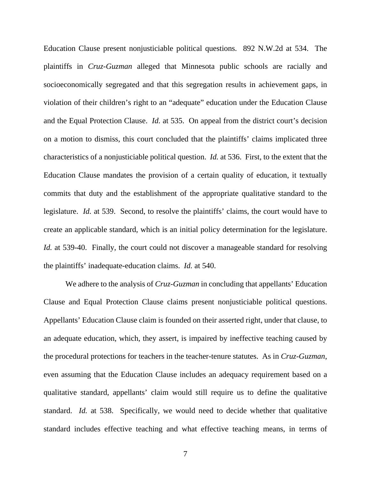Education Clause present nonjusticiable political questions. 892 N.W.2d at 534. The plaintiffs in *Cruz-Guzman* alleged that Minnesota public schools are racially and socioeconomically segregated and that this segregation results in achievement gaps, in violation of their children's right to an "adequate" education under the Education Clause and the Equal Protection Clause. *Id.* at 535. On appeal from the district court's decision on a motion to dismiss, this court concluded that the plaintiffs' claims implicated three characteristics of a nonjusticiable political question. *Id.* at 536. First, to the extent that the Education Clause mandates the provision of a certain quality of education, it textually commits that duty and the establishment of the appropriate qualitative standard to the legislature. *Id.* at 539. Second, to resolve the plaintiffs' claims, the court would have to create an applicable standard, which is an initial policy determination for the legislature. *Id.* at 539-40. Finally, the court could not discover a manageable standard for resolving the plaintiffs' inadequate-education claims. *Id.* at 540.

We adhere to the analysis of *Cruz-Guzman* in concluding that appellants' Education Clause and Equal Protection Clause claims present nonjusticiable political questions. Appellants' Education Clause claim is founded on their asserted right, under that clause, to an adequate education, which, they assert, is impaired by ineffective teaching caused by the procedural protections for teachers in the teacher-tenure statutes. As in *Cruz-Guzman*, even assuming that the Education Clause includes an adequacy requirement based on a qualitative standard, appellants' claim would still require us to define the qualitative standard. *Id.* at 538. Specifically, we would need to decide whether that qualitative standard includes effective teaching and what effective teaching means, in terms of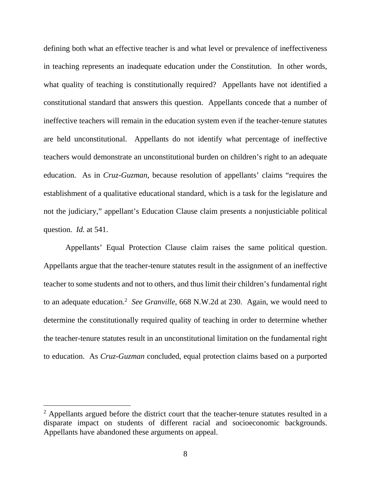defining both what an effective teacher is and what level or prevalence of ineffectiveness in teaching represents an inadequate education under the Constitution. In other words, what quality of teaching is constitutionally required? Appellants have not identified a constitutional standard that answers this question. Appellants concede that a number of ineffective teachers will remain in the education system even if the teacher-tenure statutes are held unconstitutional. Appellants do not identify what percentage of ineffective teachers would demonstrate an unconstitutional burden on children's right to an adequate education. As in *Cruz-Guzman*, because resolution of appellants' claims "requires the establishment of a qualitative educational standard, which is a task for the legislature and not the judiciary," appellant's Education Clause claim presents a nonjusticiable political question. *Id.* at 541.

Appellants' Equal Protection Clause claim raises the same political question. Appellants argue that the teacher-tenure statutes result in the assignment of an ineffective teacher to some students and not to others, and thus limit their children's fundamental right to an adequate education.<sup>2</sup> See Granville, 668 N.W.2d at 230. Again, we would need to determine the constitutionally required quality of teaching in order to determine whether the teacher-tenure statutes result in an unconstitutional limitation on the fundamental right to education. As *Cruz-Guzman* concluded, equal protection claims based on a purported

 $\overline{a}$ 

 $2$  Appellants argued before the district court that the teacher-tenure statutes resulted in a disparate impact on students of different racial and socioeconomic backgrounds. Appellants have abandoned these arguments on appeal.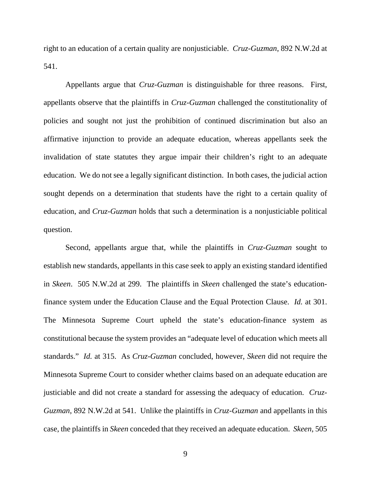right to an education of a certain quality are nonjusticiable. *Cruz-Guzman*, 892 N.W.2d at 541.

Appellants argue that *Cruz-Guzman* is distinguishable for three reasons. First, appellants observe that the plaintiffs in *Cruz-Guzman* challenged the constitutionality of policies and sought not just the prohibition of continued discrimination but also an affirmative injunction to provide an adequate education, whereas appellants seek the invalidation of state statutes they argue impair their children's right to an adequate education. We do not see a legally significant distinction. In both cases, the judicial action sought depends on a determination that students have the right to a certain quality of education, and *Cruz-Guzman* holds that such a determination is a nonjusticiable political question.

Second, appellants argue that, while the plaintiffs in *Cruz-Guzman* sought to establish new standards, appellants in this case seek to apply an existing standard identified in *Skeen*. 505 N.W.2d at 299. The plaintiffs in *Skeen* challenged the state's educationfinance system under the Education Clause and the Equal Protection Clause. *Id.* at 301. The Minnesota Supreme Court upheld the state's education-finance system as constitutional because the system provides an "adequate level of education which meets all standards." *Id.* at 315. As *Cruz-Guzman* concluded, however, *Skeen* did not require the Minnesota Supreme Court to consider whether claims based on an adequate education are justiciable and did not create a standard for assessing the adequacy of education. *Cruz-Guzman*, 892 N.W.2d at 541. Unlike the plaintiffs in *Cruz-Guzman* and appellants in this case, the plaintiffs in *Skeen* conceded that they received an adequate education. *Skeen*, 505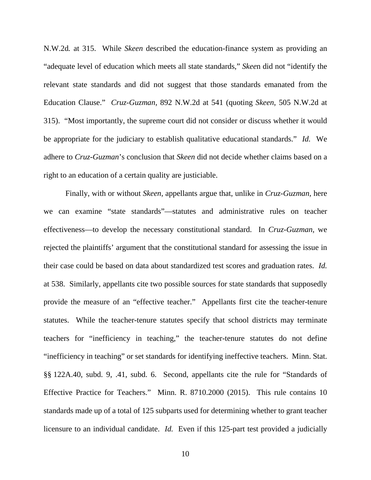N.W.2d*.* at 315. While *Skeen* described the education-finance system as providing an "adequate level of education which meets all state standards," *Skee*n did not "identify the relevant state standards and did not suggest that those standards emanated from the Education Clause." *Cruz-Guzman*, 892 N.W.2d at 541 (quoting *Skeen*, 505 N.W.2d at 315). "Most importantly, the supreme court did not consider or discuss whether it would be appropriate for the judiciary to establish qualitative educational standards." *Id.* We adhere to *Cruz-Guzman*'s conclusion that *Skeen* did not decide whether claims based on a right to an education of a certain quality are justiciable.

Finally, with or without *Skeen*, appellants argue that, unlike in *Cruz-Guzman*, here we can examine "state standards"—statutes and administrative rules on teacher effectiveness—to develop the necessary constitutional standard. In *Cruz-Guzman*, we rejected the plaintiffs' argument that the constitutional standard for assessing the issue in their case could be based on data about standardized test scores and graduation rates. *Id.* at 538. Similarly, appellants cite two possible sources for state standards that supposedly provide the measure of an "effective teacher." Appellants first cite the teacher-tenure statutes. While the teacher-tenure statutes specify that school districts may terminate teachers for "inefficiency in teaching," the teacher-tenure statutes do not define "inefficiency in teaching" or set standards for identifying ineffective teachers. Minn. Stat. §§ 122A.40, subd. 9, .41, subd. 6. Second, appellants cite the rule for "Standards of Effective Practice for Teachers." Minn. R. 8710.2000 (2015). This rule contains 10 standards made up of a total of 125 subparts used for determining whether to grant teacher licensure to an individual candidate. *Id.* Even if this 125-part test provided a judicially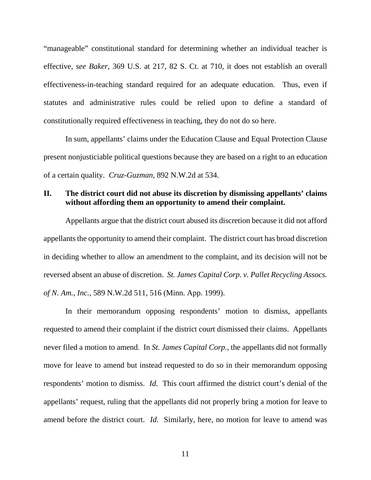"manageable" constitutional standard for determining whether an individual teacher is effective, *see Baker*, 369 U.S. at 217, 82 S. Ct. at 710, it does not establish an overall effectiveness-in-teaching standard required for an adequate education. Thus, even if statutes and administrative rules could be relied upon to define a standard of constitutionally required effectiveness in teaching, they do not do so here.

In sum, appellants' claims under the Education Clause and Equal Protection Clause present nonjusticiable political questions because they are based on a right to an education of a certain quality. *Cruz-Guzman*, 892 N.W.2d at 534.

## **II. The district court did not abuse its discretion by dismissing appellants' claims without affording them an opportunity to amend their complaint.**

Appellants argue that the district court abused its discretion because it did not afford appellants the opportunity to amend their complaint. The district court has broad discretion in deciding whether to allow an amendment to the complaint, and its decision will not be reversed absent an abuse of discretion. *St. James Capital Corp. v. Pallet Recycling Assocs. of N. Am., Inc.*, 589 N.W.2d 511, 516 (Minn. App. 1999).

In their memorandum opposing respondents' motion to dismiss, appellants requested to amend their complaint if the district court dismissed their claims. Appellants never filed a motion to amend. In *St. James Capital Corp.*, the appellants did not formally move for leave to amend but instead requested to do so in their memorandum opposing respondents' motion to dismiss. *Id.* This court affirmed the district court's denial of the appellants' request, ruling that the appellants did not properly bring a motion for leave to amend before the district court. *Id.* Similarly, here, no motion for leave to amend was